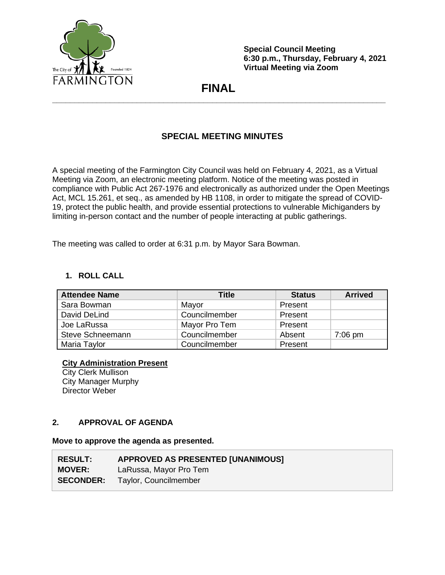

**Special Council Meeting 6:30 p.m., Thursday, February 4, 2021 Virtual Meeting via Zoom**

# **FINAL \_\_\_\_\_\_\_\_\_\_\_\_\_\_\_\_\_\_\_\_\_\_\_\_\_\_\_\_\_\_\_\_\_\_\_\_\_\_\_\_\_\_\_\_\_\_\_\_\_\_\_\_\_\_\_\_\_\_\_\_\_\_\_\_\_\_\_\_\_\_\_\_\_\_\_**

# **SPECIAL MEETING MINUTES**

A special meeting of the Farmington City Council was held on February 4, 2021, as a Virtual Meeting via Zoom, an electronic meeting platform. Notice of the meeting was posted in compliance with Public Act 267-1976 and electronically as authorized under the Open Meetings Act, MCL 15.261, et seq., as amended by HB 1108, in order to mitigate the spread of COVID-19, protect the public health, and provide essential protections to vulnerable Michiganders by limiting in-person contact and the number of people interacting at public gatherings.

The meeting was called to order at 6:31 p.m. by Mayor Sara Bowman.

# **1. ROLL CALL**

| <b>Attendee Name</b>    | Title         | <b>Status</b> | <b>Arrived</b> |
|-------------------------|---------------|---------------|----------------|
| Sara Bowman             | Mayor         | Present       |                |
| David DeLind            | Councilmember | Present       |                |
| Joe LaRussa             | Mayor Pro Tem | Present       |                |
| <b>Steve Schneemann</b> | Councilmember | Absent        | $7:06$ pm      |
| Maria Taylor            | Councilmember | Present       |                |

# **City Administration Present**

City Clerk Mullison City Manager Murphy Director Weber

## **2. APPROVAL OF AGENDA**

#### **Move to approve the agenda as presented.**

| <b>RESULT:</b> | APPROVED AS PRESENTED [UNANIMOUS]      |
|----------------|----------------------------------------|
| <b>MOVER:</b>  | LaRussa, Mayor Pro Tem                 |
|                | <b>SECONDER:</b> Taylor, Councilmember |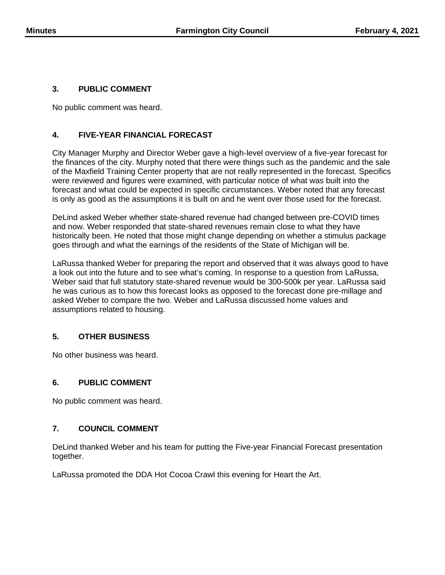## **3. PUBLIC COMMENT**

No public comment was heard.

# **4. FIVE-YEAR FINANCIAL FORECAST**

City Manager Murphy and Director Weber gave a high-level overview of a five-year forecast for the finances of the city. Murphy noted that there were things such as the pandemic and the sale of the Maxfield Training Center property that are not really represented in the forecast. Specifics were reviewed and figures were examined, with particular notice of what was built into the forecast and what could be expected in specific circumstances. Weber noted that any forecast is only as good as the assumptions it is built on and he went over those used for the forecast.

DeLind asked Weber whether state-shared revenue had changed between pre-COVID times and now. Weber responded that state-shared revenues remain close to what they have historically been. He noted that those might change depending on whether a stimulus package goes through and what the earnings of the residents of the State of Michigan will be.

LaRussa thanked Weber for preparing the report and observed that it was always good to have a look out into the future and to see what's coming. In response to a question from LaRussa, Weber said that full statutory state-shared revenue would be 300-500k per year. LaRussa said he was curious as to how this forecast looks as opposed to the forecast done pre-millage and asked Weber to compare the two. Weber and LaRussa discussed home values and assumptions related to housing.

## **5. OTHER BUSINESS**

No other business was heard.

## **6. PUBLIC COMMENT**

No public comment was heard.

#### **7. COUNCIL COMMENT**

DeLind thanked Weber and his team for putting the Five-year Financial Forecast presentation together.

LaRussa promoted the DDA Hot Cocoa Crawl this evening for Heart the Art.